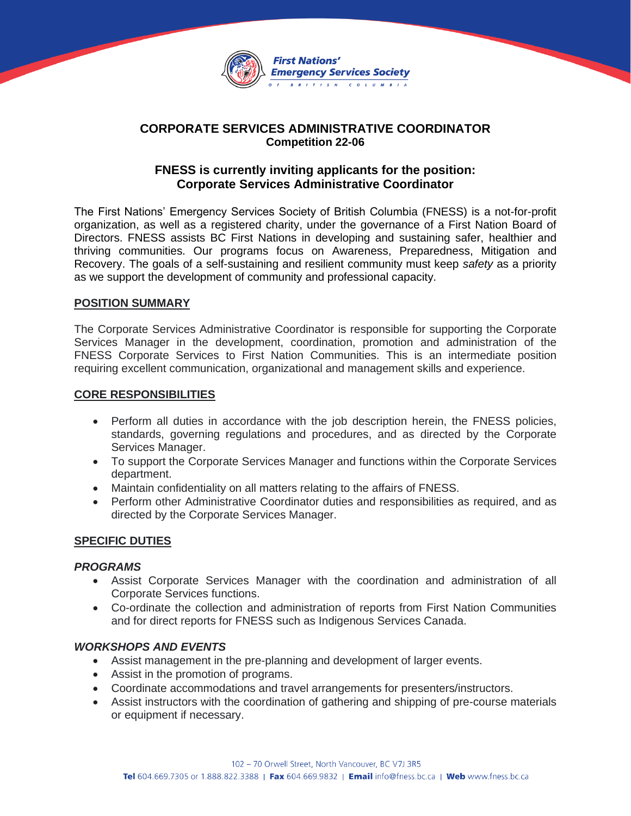

# **CORPORATE SERVICES ADMINISTRATIVE COORDINATOR Competition 22-06**

# **FNESS is currently inviting applicants for the position: Corporate Services Administrative Coordinator**

The First Nations' Emergency Services Society of British Columbia (FNESS) is a not-for-profit organization, as well as a registered charity, under the governance of a First Nation Board of Directors. FNESS assists BC First Nations in developing and sustaining safer, healthier and thriving communities. Our programs focus on Awareness, Preparedness, Mitigation and Recovery. The goals of a self-sustaining and resilient community must keep *safety* as a priority as we support the development of community and professional capacity.

### **POSITION SUMMARY**

The Corporate Services Administrative Coordinator is responsible for supporting the Corporate Services Manager in the development, coordination, promotion and administration of the FNESS Corporate Services to First Nation Communities. This is an intermediate position requiring excellent communication, organizational and management skills and experience.

#### **CORE RESPONSIBILITIES**

- Perform all duties in accordance with the job description herein, the FNESS policies, standards, governing regulations and procedures, and as directed by the Corporate Services Manager.
- To support the Corporate Services Manager and functions within the Corporate Services department.
- Maintain confidentiality on all matters relating to the affairs of FNESS.
- Perform other Administrative Coordinator duties and responsibilities as required, and as directed by the Corporate Services Manager.

### **SPECIFIC DUTIES**

#### *PROGRAMS*

- Assist Corporate Services Manager with the coordination and administration of all Corporate Services functions.
- Co-ordinate the collection and administration of reports from First Nation Communities and for direct reports for FNESS such as Indigenous Services Canada.

#### *WORKSHOPS AND EVENTS*

- Assist management in the pre-planning and development of larger events.
- Assist in the promotion of programs.
- Coordinate accommodations and travel arrangements for presenters/instructors.
- Assist instructors with the coordination of gathering and shipping of pre-course materials or equipment if necessary.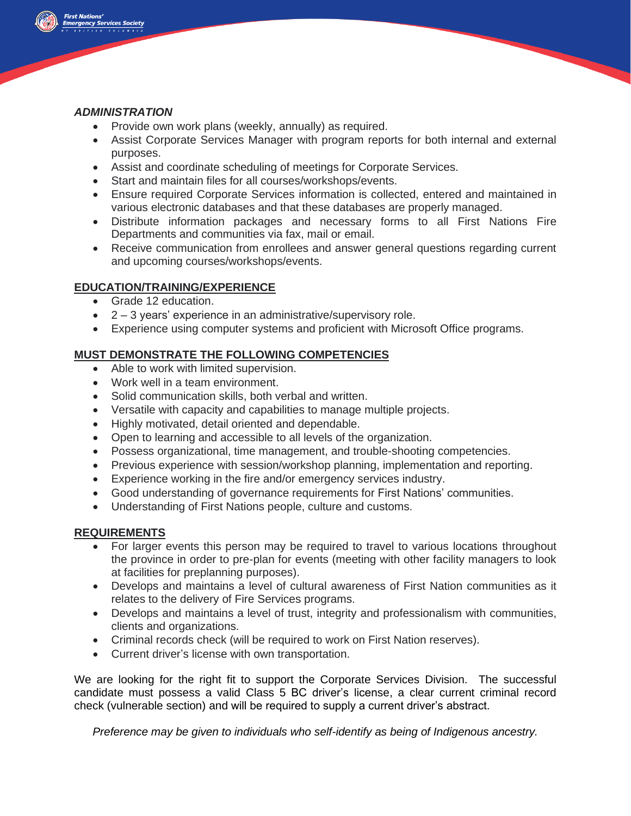

### *ADMINISTRATION*

- Provide own work plans (weekly, annually) as required.
- Assist Corporate Services Manager with program reports for both internal and external purposes.
- Assist and coordinate scheduling of meetings for Corporate Services.
- Start and maintain files for all courses/workshops/events.
- Ensure required Corporate Services information is collected, entered and maintained in various electronic databases and that these databases are properly managed.
- Distribute information packages and necessary forms to all First Nations Fire Departments and communities via fax, mail or email.
- Receive communication from enrollees and answer general questions regarding current and upcoming courses/workshops/events.

# **EDUCATION/TRAINING/EXPERIENCE**

- Grade 12 education.
- 2 3 years' experience in an administrative/supervisory role.
- Experience using computer systems and proficient with Microsoft Office programs.

# **MUST DEMONSTRATE THE FOLLOWING COMPETENCIES**

- Able to work with limited supervision.
- Work well in a team environment.
- Solid communication skills, both verbal and written.
- Versatile with capacity and capabilities to manage multiple projects.
- Highly motivated, detail oriented and dependable.
- Open to learning and accessible to all levels of the organization.
- Possess organizational, time management, and trouble-shooting competencies.
- Previous experience with session/workshop planning, implementation and reporting.
- Experience working in the fire and/or emergency services industry.
- Good understanding of governance requirements for First Nations' communities.
- Understanding of First Nations people, culture and customs.

### **REQUIREMENTS**

- For larger events this person may be required to travel to various locations throughout the province in order to pre-plan for events (meeting with other facility managers to look at facilities for preplanning purposes).
- Develops and maintains a level of cultural awareness of First Nation communities as it relates to the delivery of Fire Services programs.
- Develops and maintains a level of trust, integrity and professionalism with communities, clients and organizations.
- Criminal records check (will be required to work on First Nation reserves).
- Current driver's license with own transportation.

We are looking for the right fit to support the Corporate Services Division. The successful candidate must possess a valid Class 5 BC driver's license, a clear current criminal record check (vulnerable section) and will be required to supply a current driver's abstract.

*Preference may be given to individuals who self-identify as being of Indigenous ancestry.*